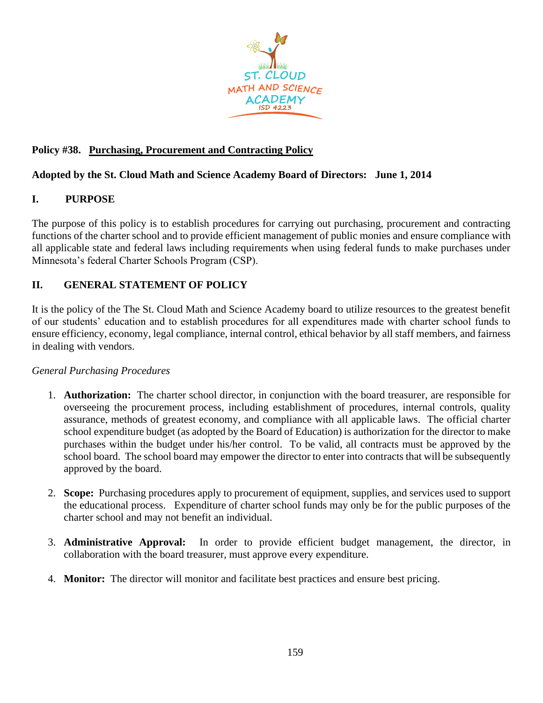

# **Policy #38. Purchasing, Procurement and Contracting Policy**

## **Adopted by the St. Cloud Math and Science Academy Board of Directors: June 1, 2014**

## **I. PURPOSE**

The purpose of this policy is to establish procedures for carrying out purchasing, procurement and contracting functions of the charter school and to provide efficient management of public monies and ensure compliance with all applicable state and federal laws including requirements when using federal funds to make purchases under Minnesota's federal Charter Schools Program (CSP).

## **II. GENERAL STATEMENT OF POLICY**

It is the policy of the The St. Cloud Math and Science Academy board to utilize resources to the greatest benefit of our students' education and to establish procedures for all expenditures made with charter school funds to ensure efficiency, economy, legal compliance, internal control, ethical behavior by all staff members, and fairness in dealing with vendors.

### *General Purchasing Procedures*

- 1. **Authorization:** The charter school director, in conjunction with the board treasurer, are responsible for overseeing the procurement process, including establishment of procedures, internal controls, quality assurance, methods of greatest economy, and compliance with all applicable laws. The official charter school expenditure budget (as adopted by the Board of Education) is authorization for the director to make purchases within the budget under his/her control. To be valid, all contracts must be approved by the school board. The school board may empower the director to enter into contracts that will be subsequently approved by the board.
- 2. **Scope:** Purchasing procedures apply to procurement of equipment, supplies, and services used to support the educational process. Expenditure of charter school funds may only be for the public purposes of the charter school and may not benefit an individual.
- 3. **Administrative Approval:** In order to provide efficient budget management, the director, in collaboration with the board treasurer, must approve every expenditure.
- 4. **Monitor:** The director will monitor and facilitate best practices and ensure best pricing.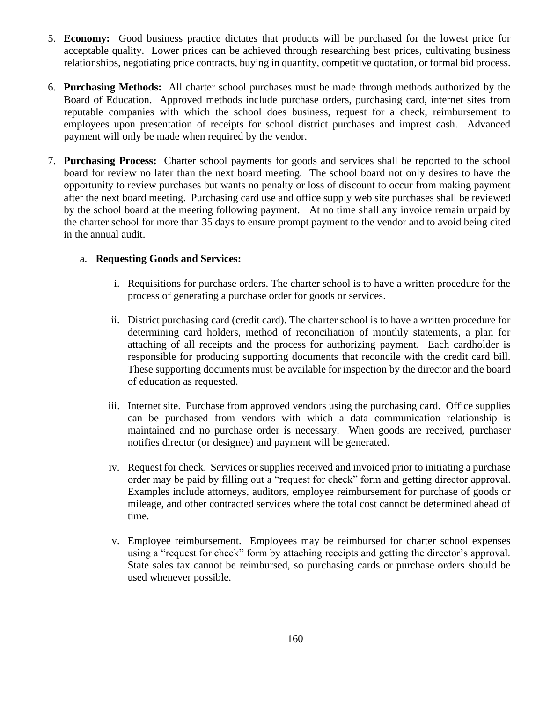- 5. **Economy:** Good business practice dictates that products will be purchased for the lowest price for acceptable quality. Lower prices can be achieved through researching best prices, cultivating business relationships, negotiating price contracts, buying in quantity, competitive quotation, or formal bid process.
- 6. **Purchasing Methods:** All charter school purchases must be made through methods authorized by the Board of Education. Approved methods include purchase orders, purchasing card, internet sites from reputable companies with which the school does business, request for a check, reimbursement to employees upon presentation of receipts for school district purchases and imprest cash. Advanced payment will only be made when required by the vendor.
- 7. **Purchasing Process:** Charter school payments for goods and services shall be reported to the school board for review no later than the next board meeting. The school board not only desires to have the opportunity to review purchases but wants no penalty or loss of discount to occur from making payment after the next board meeting. Purchasing card use and office supply web site purchases shall be reviewed by the school board at the meeting following payment. At no time shall any invoice remain unpaid by the charter school for more than 35 days to ensure prompt payment to the vendor and to avoid being cited in the annual audit.

#### a. **Requesting Goods and Services:**

- i. Requisitions for purchase orders. The charter school is to have a written procedure for the process of generating a purchase order for goods or services.
- ii. District purchasing card (credit card). The charter school is to have a written procedure for determining card holders, method of reconciliation of monthly statements, a plan for attaching of all receipts and the process for authorizing payment. Each cardholder is responsible for producing supporting documents that reconcile with the credit card bill. These supporting documents must be available for inspection by the director and the board of education as requested.
- iii. Internet site. Purchase from approved vendors using the purchasing card. Office supplies can be purchased from vendors with which a data communication relationship is maintained and no purchase order is necessary. When goods are received, purchaser notifies director (or designee) and payment will be generated.
- iv. Request for check. Services or supplies received and invoiced prior to initiating a purchase order may be paid by filling out a "request for check" form and getting director approval. Examples include attorneys, auditors, employee reimbursement for purchase of goods or mileage, and other contracted services where the total cost cannot be determined ahead of time.
- v. Employee reimbursement. Employees may be reimbursed for charter school expenses using a "request for check" form by attaching receipts and getting the director's approval. State sales tax cannot be reimbursed, so purchasing cards or purchase orders should be used whenever possible.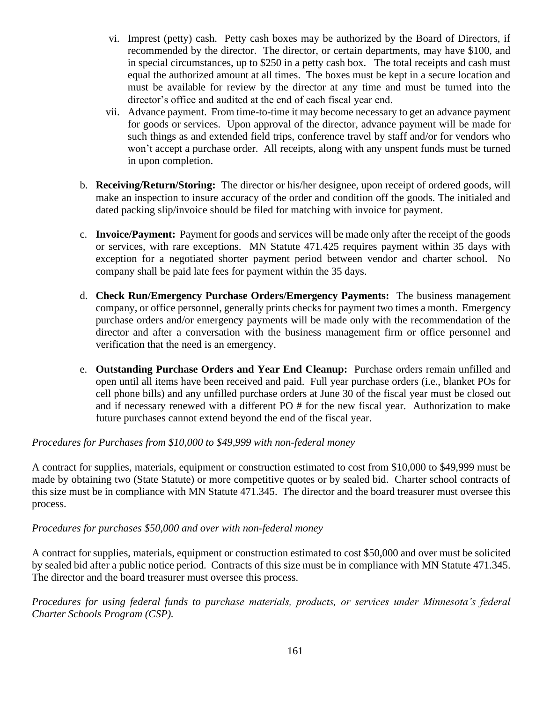- vi. Imprest (petty) cash. Petty cash boxes may be authorized by the Board of Directors, if recommended by the director. The director, or certain departments, may have \$100, and in special circumstances, up to \$250 in a petty cash box. The total receipts and cash must equal the authorized amount at all times. The boxes must be kept in a secure location and must be available for review by the director at any time and must be turned into the director's office and audited at the end of each fiscal year end.
- vii. Advance payment. From time-to-time it may become necessary to get an advance payment for goods or services. Upon approval of the director, advance payment will be made for such things as and extended field trips, conference travel by staff and/or for vendors who won't accept a purchase order. All receipts, along with any unspent funds must be turned in upon completion.
- b. **Receiving/Return/Storing:** The director or his/her designee, upon receipt of ordered goods, will make an inspection to insure accuracy of the order and condition off the goods. The initialed and dated packing slip/invoice should be filed for matching with invoice for payment.
- c. **Invoice/Payment:** Payment for goods and services will be made only after the receipt of the goods or services, with rare exceptions. MN Statute 471.425 requires payment within 35 days with exception for a negotiated shorter payment period between vendor and charter school. No company shall be paid late fees for payment within the 35 days.
- d. **Check Run/Emergency Purchase Orders/Emergency Payments:** The business management company, or office personnel, generally prints checks for payment two times a month. Emergency purchase orders and/or emergency payments will be made only with the recommendation of the director and after a conversation with the business management firm or office personnel and verification that the need is an emergency.
- e. **Outstanding Purchase Orders and Year End Cleanup:** Purchase orders remain unfilled and open until all items have been received and paid. Full year purchase orders (i.e., blanket POs for cell phone bills) and any unfilled purchase orders at June 30 of the fiscal year must be closed out and if necessary renewed with a different PO # for the new fiscal year. Authorization to make future purchases cannot extend beyond the end of the fiscal year.

### *Procedures for Purchases from \$10,000 to \$49,999 with non-federal money*

A contract for supplies, materials, equipment or construction estimated to cost from \$10,000 to \$49,999 must be made by obtaining two (State Statute) or more competitive quotes or by sealed bid. Charter school contracts of this size must be in compliance with MN Statute 471.345. The director and the board treasurer must oversee this process.

#### *Procedures for purchases \$50,000 and over with non-federal money*

A contract for supplies, materials, equipment or construction estimated to cost \$50,000 and over must be solicited by sealed bid after a public notice period. Contracts of this size must be in compliance with MN Statute 471.345. The director and the board treasurer must oversee this process.

*Procedures for using federal funds to purchase materials, products, or services under Minnesota's federal Charter Schools Program (CSP).*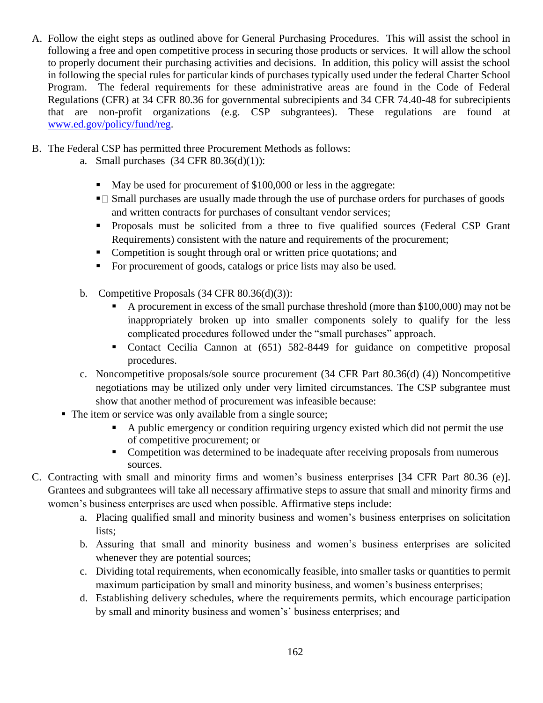- A. Follow the eight steps as outlined above for General Purchasing Procedures. This will assist the school in following a free and open competitive process in securing those products or services. It will allow the school to properly document their purchasing activities and decisions. In addition, this policy will assist the school in following the special rules for particular kinds of purchases typically used under the federal Charter School Program. The federal requirements for these administrative areas are found in the Code of Federal Regulations (CFR) at 34 CFR 80.36 for governmental subrecipients and 34 CFR 74.40-48 for subrecipients that are non-profit organizations (e.g. CSP subgrantees). These regulations are found at [www.ed.gov/policy/fund/reg.](http://www.ed.gov/policy/fund/reg)
- B. The Federal CSP has permitted three Procurement Methods as follows:
	- a. Small purchases(34 CFR 80.36(d)(1)):
		- May be used for procurement of \$100,000 or less in the aggregate:
		- $\blacksquare$  Small purchases are usually made through the use of purchase orders for purchases of goods and written contracts for purchases of consultant vendor services;
		- **•** Proposals must be solicited from a three to five qualified sources (Federal CSP Grant Requirements) consistent with the nature and requirements of the procurement;
		- Competition is sought through oral or written price quotations; and
		- For procurement of goods, catalogs or price lists may also be used.
	- b. Competitive Proposals (34 CFR 80.36(d)(3)):
		- A procurement in excess of the small purchase threshold (more than \$100,000) may not be inappropriately broken up into smaller components solely to qualify for the less complicated procedures followed under the "small purchases" approach.
		- Contact Cecilia Cannon at (651) 582-8449 for guidance on competitive proposal procedures.
	- c. Noncompetitive proposals/sole source procurement (34 CFR Part 80.36(d) (4)) Noncompetitive negotiations may be utilized only under very limited circumstances. The CSP subgrantee must show that another method of procurement was infeasible because:
	- The item or service was only available from a single source;
		- A public emergency or condition requiring urgency existed which did not permit the use of competitive procurement; or
		- Competition was determined to be inadequate after receiving proposals from numerous sources.
- C. Contracting with small and minority firms and women's business enterprises [34 CFR Part 80.36 (e)]. Grantees and subgrantees will take all necessary affirmative steps to assure that small and minority firms and women's business enterprises are used when possible. Affirmative steps include:
	- a. Placing qualified small and minority business and women's business enterprises on solicitation lists;
	- b. Assuring that small and minority business and women's business enterprises are solicited whenever they are potential sources;
	- c. Dividing total requirements, when economically feasible, into smaller tasks or quantities to permit maximum participation by small and minority business, and women's business enterprises;
	- d. Establishing delivery schedules, where the requirements permits, which encourage participation by small and minority business and women's' business enterprises; and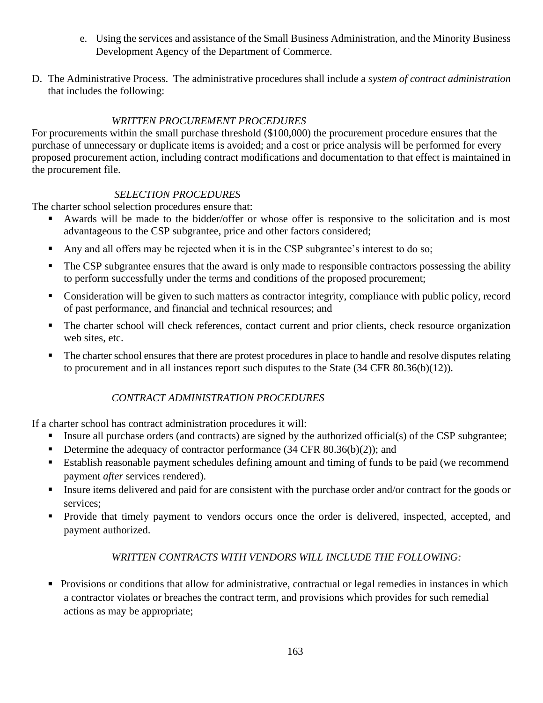- e. Using the services and assistance of the Small Business Administration, and the Minority Business Development Agency of the Department of Commerce.
- D. The Administrative Process. The administrative procedures shall include a *system of contract administration* that includes the following:

# *WRITTEN PROCUREMENT PROCEDURES*

For procurements within the small purchase threshold (\$100,000) the procurement procedure ensures that the purchase of unnecessary or duplicate items is avoided; and a cost or price analysis will be performed for every proposed procurement action, including contract modifications and documentation to that effect is maintained in the procurement file.

### *SELECTION PROCEDURES*

The charter school selection procedures ensure that:

- Awards will be made to the bidder/offer or whose offer is responsive to the solicitation and is most advantageous to the CSP subgrantee, price and other factors considered;
- Any and all offers may be rejected when it is in the CSP subgrantee's interest to do so;
- The CSP subgrantee ensures that the award is only made to responsible contractors possessing the ability to perform successfully under the terms and conditions of the proposed procurement;
- Consideration will be given to such matters as contractor integrity, compliance with public policy, record of past performance, and financial and technical resources; and
- The charter school will check references, contact current and prior clients, check resource organization web sites, etc.
- The charter school ensures that there are protest procedures in place to handle and resolve disputes relating to procurement and in all instances report such disputes to the State (34 CFR 80.36(b)(12)).

# *CONTRACT ADMINISTRATION PROCEDURES*

If a charter school has contract administration procedures it will:

- Insure all purchase orders (and contracts) are signed by the authorized official(s) of the CSP subgrantee;
- Determine the adequacy of contractor performance  $(34 \text{ CFR } 80.36(b)(2))$ ; and
- Establish reasonable payment schedules defining amount and timing of funds to be paid (we recommend payment *after* services rendered).
- **Exercise 1** Insure items delivered and paid for are consistent with the purchase order and/or contract for the goods or services;
- **•** Provide that timely payment to vendors occurs once the order is delivered, inspected, accepted, and payment authorized.

# *WRITTEN CONTRACTS WITH VENDORS WILL INCLUDE THE FOLLOWING:*

**•** Provisions or conditions that allow for administrative, contractual or legal remedies in instances in which a contractor violates or breaches the contract term, and provisions which provides for such remedial actions as may be appropriate;